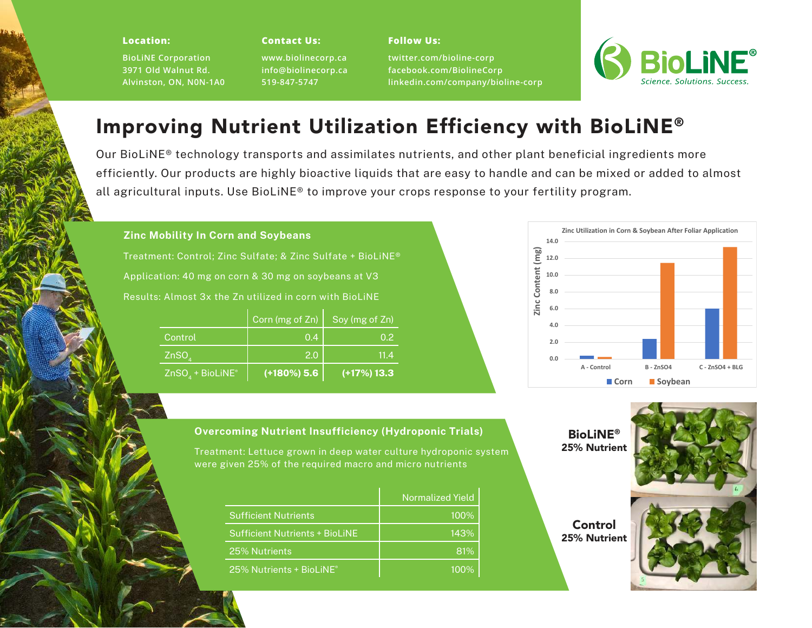#### **Location:**

**BioLiNE Corporation 3971 Old Walnut Rd. Alvinston, ON, N0N-1A0**

#### **Contact Us:**

**www.biolinecorp.ca info@biolinecorp.ca 519-847-5747**

**twitter.com/bioline-corp facebook.com/BiolineCorp linkedin.com/company/bioline-corp**



# Improving Nutrient Utilization Efficiency with BioLiNE®

Our BioLiNE® technology transports and assimilates nutrients, and other plant beneficial ingredients more efficiently. Our products are highly bioactive liquids that are easy to handle and can be mixed or added to almost all agricultural inputs. Use BioLiNE® to improve your crops response to your fertility program.

**Follow Us:**

## **Zinc Mobility In Corn and Soybeans**

Treatment: Control; Zinc Sulfate; & Zinc Sulfate + BioLiNE® Application: 40 mg on corn & 30 mg on soybeans at V3 Results: Almost 3x the Zn utilized in corn with BioLiNE

|                      | Corn (mg of Zn)           | Soy (mg of Zn)   |
|----------------------|---------------------------|------------------|
| Control              | 0.4                       | 0.2 <sub>2</sub> |
| ZnSO <sub>a</sub>    | 2.0                       | 11.4             |
| $ZnSO_A + BioLink^*$ | $(180\%)$ 5.6 $^{\prime}$ | $(117%)$ 13.3    |



# BioLiNE® 25% Nutrient

**Control** 25% Nutrient



# **Overcoming Nutrient Insufficiency (Hydroponic Trials)**

Treatment: Lettuce grown in deep water culture hydroponic system were given 25% of the required macro and micro nutrients

|                                       | <b>Normalized Yield</b> |  |  |  |
|---------------------------------------|-------------------------|--|--|--|
| <b>Sufficient Nutrients</b>           | 100%                    |  |  |  |
| <b>Sufficient Nutrients + BioLiNE</b> | 143%                    |  |  |  |
| 25% Nutrients                         | 81%                     |  |  |  |
| 25% Nutrients + BioLiNE <sup>®</sup>  | $100\%$                 |  |  |  |